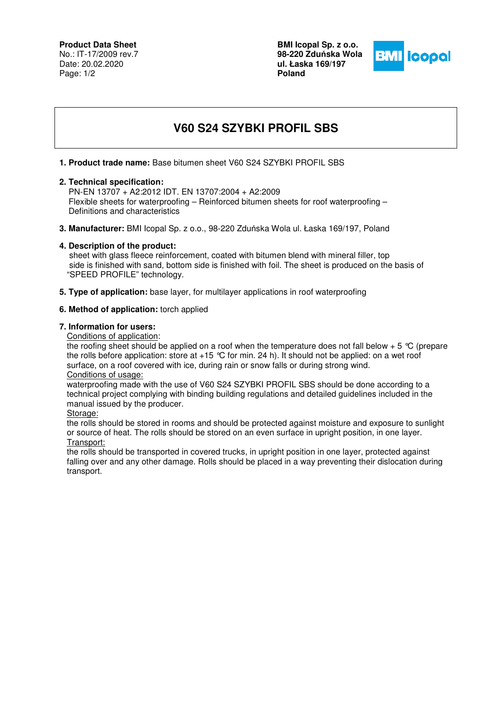**Product Data Sheet** No.: IT-17/2009 rev.7 Date: 20.02.2020 Page: 1/2

**BMI Icopal Sp. z o.o. 98-220 Zdu**ń**ska Wola ul. Łaska 169/197 Poland** 



# **V60 S24 SZYBKI PROFIL SBS**

### **1. Product trade name:** Base bitumen sheet V60 S24 SZYBKI PROFIL SBS

#### **2. Technical specification:**

 PN-EN 13707 + A2:2012 IDT. EN 13707:2004 + A2:2009 Flexible sheets for waterproofing – Reinforced bitumen sheets for roof waterproofing – Definitions and characteristics

**3. Manufacturer:** BMI Icopal Sp. z o.o., 98-220 Zduńska Wola ul. Łaska 169/197, Poland

# **4. Description of the product:**

 sheet with glass fleece reinforcement, coated with bitumen blend with mineral filler, top side is finished with sand, bottom side is finished with foil. The sheet is produced on the basis of "SPEED PROFILE" technology.

**5. Type of application:** base layer, for multilayer applications in roof waterproofing

# **6. Method of application:** torch applied

#### **7. Information for users:**

Conditions of application:

the roofing sheet should be applied on a roof when the temperature does not fall below  $+ 5 \degree C$  (prepare the rolls before application: store at +15 °C for min. 24 h). It should not be applied: on a wet roof surface, on a roof covered with ice, during rain or snow falls or during strong wind. Conditions of usage:

waterproofing made with the use of V60 S24 SZYBKI PROFIL SBS should be done according to a technical project complying with binding building regulations and detailed guidelines included in the manual issued by the producer.

Storage:

the rolls should be stored in rooms and should be protected against moisture and exposure to sunlight or source of heat. The rolls should be stored on an even surface in upright position, in one layer. Transport:

the rolls should be transported in covered trucks, in upright position in one layer, protected against falling over and any other damage. Rolls should be placed in a way preventing their dislocation during transport.